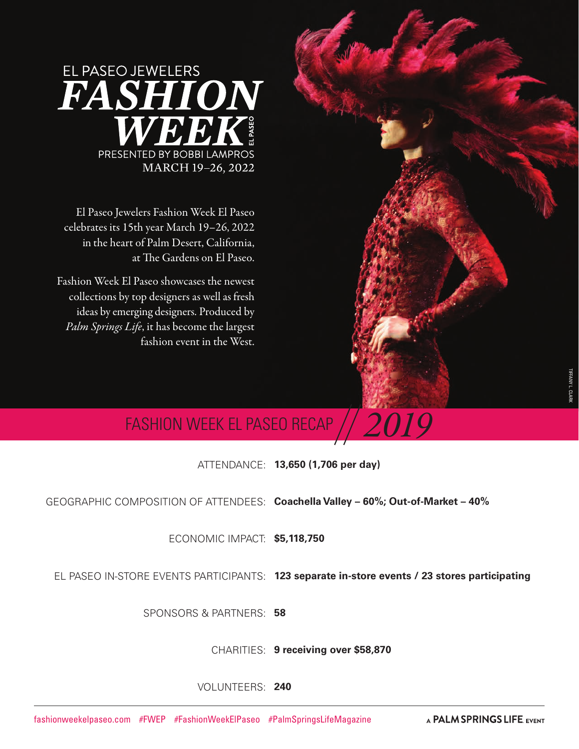

El Paseo Jewelers Fashion Week El Paseo celebrates its 15th year March 19–26, 2022 in the heart of Palm Desert, California, at The Gardens on El Paseo.

Fashion Week El Paseo showcases the newest collections by top designers as well as fresh ideas by emerging designers. Produced by *Palm Springs Life*, it has become the largest fashion event in the West.

# **FASHION WEEK EL PASEO RECAP**

ATTENDANCE: **13,650 (1,706 per day)**

GEOGRAPHIC COMPOSITION OF ATTENDEES: **Coachella Valley – 60%; Out-of-Market – 40%** 

ECONOMIC IMPACT: **\$5,118,750**

EL PASEO IN-STORE EVENTS PARTICIPANTS: **123 separate in-store events / 23 stores participating**

SPONSORS & PARTNERS: **58** 

CHARITIES: **9 receiving over \$58,870**

VOLUNTEERS: **240**